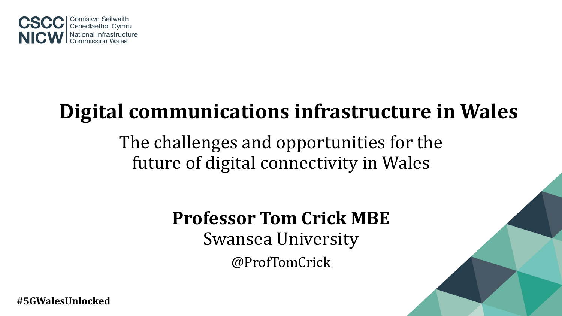

# **Digital communications infrastructure in Wales**

The challenges and opportunities for the future of digital connectivity in Wales

> **Professor Tom Crick MBE** Swansea University @ProfTomCrick

**#5GWalesUnlocked**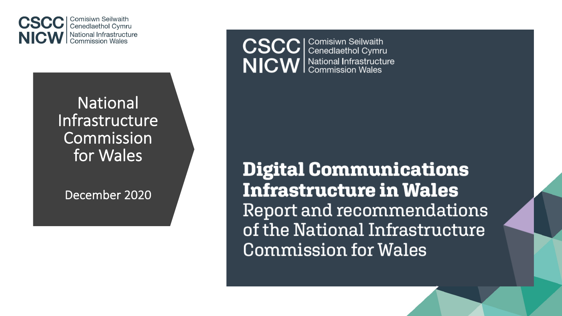

**National** Infrastructure Commission for Wales

December 2020

**CSCC** | Comisiwn Seilwaith NICW School Infrastructure

**Digital Communications Infrastructure in Wales** Report and recommendations of the National Infrastructure **Commission for Wales**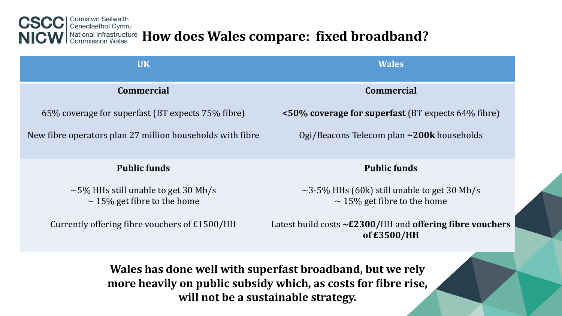

| <b>UK</b>                                                                                                                                                          | <b>Wales</b>                                                                          |  |
|--------------------------------------------------------------------------------------------------------------------------------------------------------------------|---------------------------------------------------------------------------------------|--|
| <b>Commercial</b>                                                                                                                                                  | <b>Commercial</b>                                                                     |  |
| 65% coverage for superfast (BT expects 75% fibre)                                                                                                                  | $\leq 50\%$ coverage for superfast (BT expects 64% fibre)                             |  |
| New fibre operators plan 27 million households with fibre                                                                                                          | Ogi/Beacons Telecom plan ~200k households                                             |  |
| <b>Public funds</b>                                                                                                                                                | <b>Public funds</b>                                                                   |  |
| $\sim$ 5% HHs still unable to get 30 Mb/s<br>$\sim$ 15% get fibre to the home                                                                                      | $\sim$ 3-5% HHs (60k) still unable to get 30 Mb/s<br>$\sim$ 15% get fibre to the home |  |
| Currently offering fibre vouchers of £1500/HH                                                                                                                      | Latest build costs $\sim$ £2300/HH and offering fibre vouchers<br>of £3500/HH         |  |
| Wales has done well with superfast broadband, but we rely<br>more heavily on public subsidy which, as costs for fibre rise,<br>will not be a sustainable strategy. |                                                                                       |  |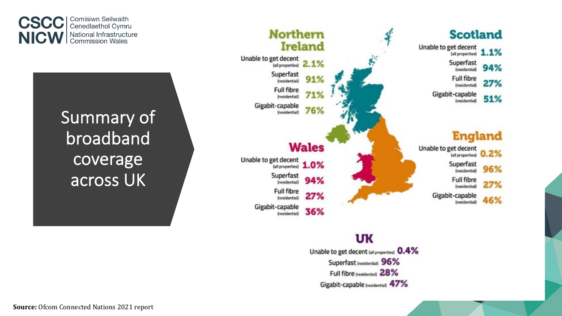

Summary of broadband coverage across UK



### **UK**

Unable to get decent (all properties) 0.4% Superfast (residential) 96% Full fibre (residential 28% Gigabit-capable (residential) 47%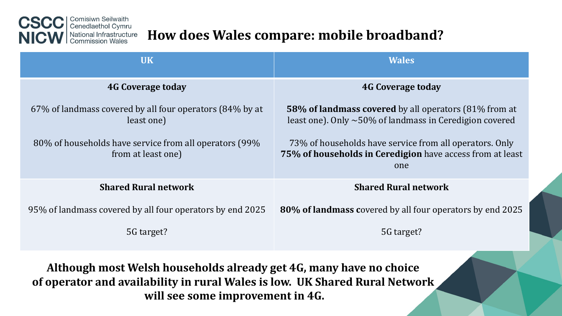

## How does Wales compare: mobile broadband?

| <b>UK</b>                                                                    | <b>Wales</b>                                                                                                                  |
|------------------------------------------------------------------------------|-------------------------------------------------------------------------------------------------------------------------------|
| <b>4G Coverage today</b>                                                     | <b>4G Coverage today</b>                                                                                                      |
| 67% of landmass covered by all four operators (84% by at<br>least one)       | <b>58% of landmass covered</b> by all operators (81% from at<br>least one). Only $\sim$ 50% of landmass in Ceredigion covered |
| 80% of households have service from all operators (99%<br>from at least one) | 73% of households have service from all operators. Only<br>75% of households in Ceredigion have access from at least<br>one   |
| <b>Shared Rural network</b>                                                  | <b>Shared Rural network</b>                                                                                                   |
| 95% of landmass covered by all four operators by end 2025                    | 80% of landmass covered by all four operators by end 2025                                                                     |
| 5G target?                                                                   | 5G target?                                                                                                                    |

Although most Welsh households already get 4G, many have no choice of operator and availability in rural Wales is low. UK Shared Rural Network will see some improvement in 4G.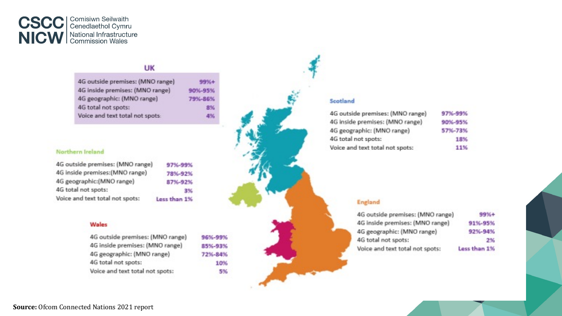

#### UK

| 4G outside premises: (MNO range) | 99%+    |
|----------------------------------|---------|
| 4G inside premises: (MNO range)  | 90%-95% |
| 4G geographic: (MNO range)       | 79%-86% |
| 4G total not spots:              | 8%      |
| Voice and text total not spots:  | 4%      |

#### Northern Ireland

| 4G outside premises: (MNO range) | 97%-99%      |
|----------------------------------|--------------|
| 4G inside premises: (MNO range)  | 78%-92%      |
| 4G geographic:(MNO range)        | 87%-92%      |
| 4G total not spots:              | 3%           |
| Voice and text total not spots:  | Less than 1% |

#### Wales

4G outside premises: (MNO range) 4G inside premises: (MNO range) 4G geographic: (MNO range) 4G total not spots: Voice and text total not spots:

96%-99% 85%-93% 72%-84% 10% 5%

# Scotland

| G outside premises: (MNO range) | 97%-99% |
|---------------------------------|---------|
| G inside premises: (MNO range)  | 90%-95% |
| G geographic: (MNO range)       | 57%-73% |
| G total not spots:              | 18%     |
| oice and text total not spots:  | 11%     |

#### **England**

| 4G outside premises: (MNO range) | 99%+         |
|----------------------------------|--------------|
| 4G inside premises: (MNO range)  | 91%-95%      |
| 4G geographic: (MNO range)       | 92%-94%      |
| 4G total not spots:              | 2%           |
| Voice and text total not spots:  | Less than 1% |
|                                  |              |

**Source:** Ofcom Connected Nations 2021 report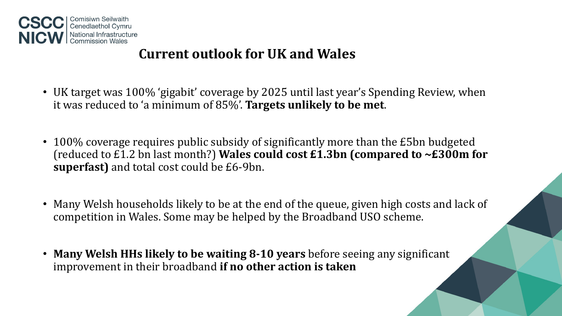

### **Current outlook for UK and Wales**

- UK target was 100% 'gigabit' coverage by 2025 until last year's Spending Review, when it was reduced to 'a minimum of 85%'. Targets unlikely to be met.
- 100% coverage requires public subsidy of significantly more than the £5bn budgeted (reduced to £1.2 bn last month?) Wales could cost  $£1.3$ bn (compared to  $~E300$ m for **superfast)** and total cost could be £6-9bn.
- Many Welsh households likely to be at the end of the queue, given high costs and lack of competition in Wales. Some may be helped by the Broadband USO scheme.
- Many Welsh HHs likely to be waiting 8-10 years before seeing any significant improvement in their broadband **if no other action is taken**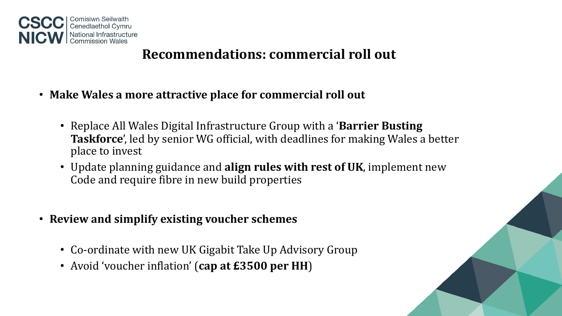

### **Recommendations: commercial roll out**

- Make Wales a more attractive place for commercial roll out
	- Replace All Wales Digital Infrastructure Group with a **'Barrier Busting Taskforce**', led by senior WG official, with deadlines for making Wales a better place to invest
	- Update planning guidance and **align rules with rest of UK**, implement new Code and require fibre in new build properties
- **Review and simplify existing voucher schemes**
	- Co-ordinate with new UK Gigabit Take Up Advisory Group
	- Avoid 'voucher inflation' (cap at £3500 per HH)

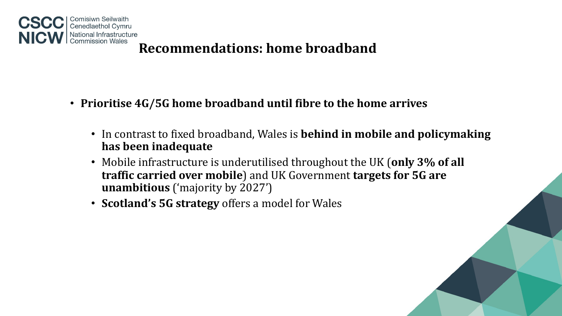

### **Recommendations: home broadband**

- Prioritise 4G/5G home broadband until fibre to the home arrives
	- In contrast to fixed broadband, Wales is **behind in mobile and policymaking has been inadequate**
	- Mobile infrastructure is underutilised throughout the UK (only 3% of all traffic carried over mobile) and UK Government targets for 5G are **unambitious** ('majority by 2027')
	- **Scotland's 5G strategy** offers a model for Wales

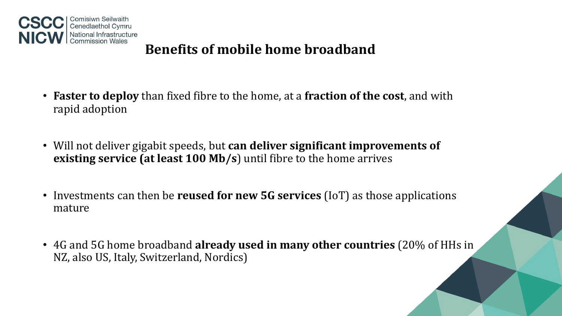

## **Benefits of mobile home broadband**

- **Faster to deploy** than fixed fibre to the home, at a fraction of the cost, and with rapid adoption
- Will not deliver gigabit speeds, but **can deliver significant improvements of existing service (at least 100 Mb/s)** until fibre to the home arrives
- Investments can then be **reused for new 5G services** (IoT) as those applications mature
- 4G and 5G home broadband **already used in many other countries** (20% of HHs in NZ, also US, Italy, Switzerland, Nordics)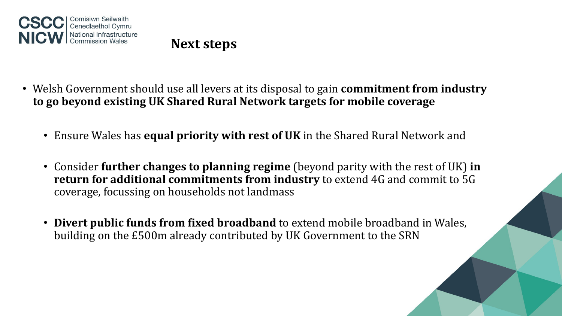

**Next steps**

- Welsh Government should use all levers at its disposal to gain **commitment from industry** to go beyond existing UK Shared Rural Network targets for mobile coverage
	- Ensure Wales has **equal priority with rest of UK** in the Shared Rural Network and
	- Consider **further changes to planning regime** (beyond parity with the rest of UK) in **return for additional commitments from industry** to extend 4G and commit to 5G coverage, focussing on households not landmass
	- Divert public funds from fixed broadband to extend mobile broadband in Wales, building on the £500m already contributed by UK Government to the SRN